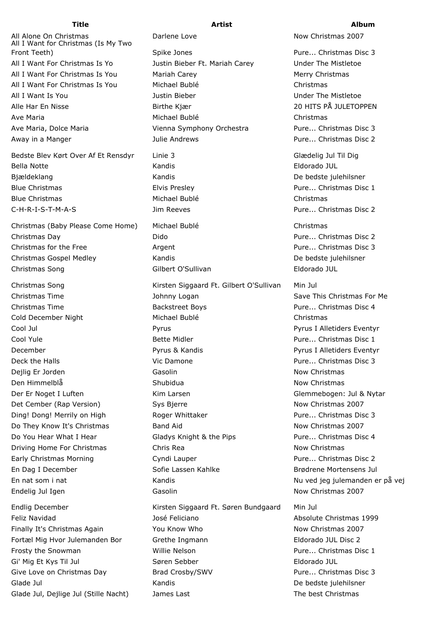All Alone On Christmas **Now Christmas 2007** Darlene Love Now Christmas 2007 All I Want for Christmas (Is My Two Front Teeth) **Spike Jones** Spike Jones Pure... Christmas Disc 3 All I Want For Christmas Is Yo Justin Bieber Ft. Mariah Carey Under The Mistletoe All I Want For Christmas Is You Mariah Carey Merry Christmas Merry Christmas All I Want For Christmas Is You Michael Bublé Christmas All I Want Is You **All I Want Is You All I Want Is You** Justin Bieber New York Channel Bieser Under The Mistletoe Alle Har En Nisse Birthe Kjær 20 HITS PÅ JULETOPPEN Ave Maria Michael Bublé Christmas Ave Maria, Dolce Maria Vienna Symphony Orchestra Pure... Christmas Disc 3

Bedste Blev Kørt Over Af Et Rensdyr Linie 3 Glædelig Jul Til Dig Bella Notte **Kandis** Kandis **Kandis Eldorado JUL** Bjældeklang National Kandis Medalem Bjældeklang De bedste julehilsner Blue Christmas **Elvis Presley Elvis Presley Pure... Christmas Disc 1** Blue Christmas and Christmas Michael Bublé Christmas Christmas C-H-R-I-S-T-M-A-S Jim Reeves Pure... Christmas Disc 2

Christmas (Baby Please Come Home) Michael Bublé Christmas Christmas Day Dido Pure... Christmas Disc 2 Christmas for the Free **Argent** Argent Argent **Pure... Christmas Disc 3** Christmas Gospel Medley Kandis De bedste julehilsner Christmas Song Gilbert O'Sullivan Eldorado JUL

Away in a Manger The South Andrews Tulie Andrews The South Pure... Christmas Disc 2

Christmas Song The Risten Siggaard Ft. Gilbert O'Sullivan Min Jul Christmas Time **Save This Christmas For Me** Johnny Logan Save This Christmas For Me Christmas Time Backstreet Boys Pure... Christmas Disc 4 Cold December Night **Michael Bublé** Christmas Cool Jul Pyrus Pyrus I Alletiders Eventyr Cool Yule **Pure...** Christmas Disc 1 and Bette Midler **Pure...** Christmas Disc 1 December Pyrus & Kandis Pyrus I Alletiders Eventyr Deck the Halls Vic Damone Pure... Christmas Disc 3 Deilig Er Jorden Now Christmas Casolin Communication Communication Communication of the University Oriental Co Den Himmelblå Now Christmas Shubidua Now Christmas Now Christmas Der Er Noget I Luften Glemmebogen: Jul & Nytar Det Cember (Rap Version) Sys Bjerre Now Christmas 2007 Ding! Dong! Merrily on High Roger Whittaker Pure... Christmas Disc 3 Do They Know It's Christmas **Band Aid Now Christmas 2007** Now Christmas 2007 Do You Hear What I Hear **Gladys Knight & the Pips** Pure... Christmas Disc 4 Driving Home For Christmas **Chris Rea** Chris Rea Now Christmas Early Christmas Morning **Cyndi Lauper** Pure... Christmas Disc 2 En Dag I December The Sofie Lassen Kahlke Brødrene Mortensens Jul En nat som i nat verslag i Kandis Kandis Nu ved jeg julemanden er på vej Endelig Jul Igen Now Christmas 2007 Casolin Now Christmas 2007 Endlig December Kirsten Siggaard Ft. Søren Bundgaard Min Jul

Feliz Navidad **Absolute Christmas 1999** José Feliciano **Absolute Christmas 1999** Finally It's Christmas Again **Now Know Who Now Christmas 2007** Now Christmas 2007 Fortæl Mig Hvor Julemanden Bor Grethe Ingmann Eldorado JUL Disc 2 Frosty the Snowman **Example 20 Willie Nelson Pure...** Christmas Disc 1 Gi' Mig Et Kys Til Jul **Søren Sebber** Sebber Eldorado JUL Give Love on Christmas Day **Brad Crosby/SWV** Pure... Christmas Disc 3 Glade Jul **Canadis** Canadis Control Control Control Control Control Control Control De bedste julehilsner Glade Jul, Dejlige Jul (Stille Nacht) James Last The best Christmas The best Christmas

## **Title Artist Album**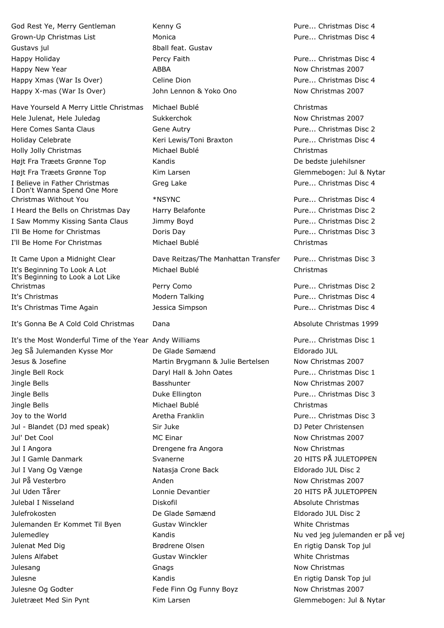God Rest Ye, Merry Gentleman Kenny G **Reserve Contains Contains Contains Contains** Pure... Christmas Disc 4 Grown-Up Christmas List **Monica** Monica **Pure... Christmas Disc 4** Gustavs jul 8ball feat. Gustav Happy Holiday **Percy Faith Pure... Christmas Disc 4** approximate Pure... Christmas Disc 4 Happy New Year **Now Christmas 2007** ABBA Now Christmas 2007 Happy Xmas (War Is Over) Celine Dion Number 2012 10:44 Pure... Christmas Disc 4 Happy X-mas (War Is Over) The John Lennon & Yoko Ono Now Christmas 2007

Hele Julenat, Hele Juledag Sukkerchok Sukkerchok Now Christmas 2007 Here Comes Santa Claus Gene Autry Pure... Christmas Disc 2 Holiday Celebrate The Keri Lewis/Toni Braxton The Pure... Christmas Disc 4 Holly Jolly Christmas Michael Bublé Christmas Højt Fra Træets Grønne Top Mandis Communisties og Kandis Communisties og De bedste julehilsner Højt Fra Træets Grønne Top Frammer Kim Larsen Glemmebogen: Jul & Nytar I Believe in Father Christmas **Greg Lake** Greg Lake Pure... Christmas Disc 4 I Don't Wanna Spend One More Christmas Without You \*NSYNC Pure... Christmas Disc 4 I Heard the Bells on Christmas Day Harry Belafonte **Pure...** Christmas Disc 2 I Saw Mommy Kissing Santa Claus Jimmy Boyd Pure... Christmas Disc 2 I'll Be Home for Christmas Doris Day Pure... Christmas Disc 3 I'll Be Home For Christmas Michael Bublé Christmas It Came Upon a Midnight Clear Dave Reitzas/The Manhattan Transfer Pure... Christmas Disc 3 It's Beginning to Look a Lot Like

It's Gonna Be A Cold Cold Christmas Dana **Dana Absolute Christmas 1999** 

It's the Most Wonderful Time of the Year Andy Williams **Pure...** Christmas Disc 1 Jeg Så Julemanden Kysse Mor De Glade Sømænd Eldorado JUL Jesus & Josefine **Martin Brygmann & Julie Bertelsen** Now Christmas 2007 Jingle Bell Rock Daryl Hall & John Oates Pure... Christmas Disc 1 Jingle Bells **Basshunter** Basshunter **Now Christmas 2007** Jingle Bells Duke Ellington Pure... Christmas Disc 3 Jingle Bells Michael Bublé Christmas Joy to the World Aretha Franklin Pure... Christmas Disc 3 Jul - Blandet (DJ med speak) Sir Juke DJ Peter Christensen Jul' Det Cool **MC Einar** MC Einar Now Christmas 2007 Jul I Angora Drengene fra Angora Now Christmas Jul I Gamle Danmark Svanerne 20 HITS PÅ JULETOPPEN Jul I Vang Og Vænge Natasja Crone Back Eldorado JUL Disc 2 Jul På Vesterbro Anden Now Christmas 2007 Jul Uden Tårer Lonnie Devantier 20 HITS PÅ JULETOPPEN Julebal I Nisseland Diskofil Absolute Christmas Julefrokosten De Glade Sømænd Eldorado JUL Disc 2 Julemanden Er Kommet Til Byen Gustav Winckler White Christmas Julemedley Kandis Nu ved jeg julemanden er på vej Julenat Med Dig Brødrene Olsen En rigtig Dansk Top jul Julens Alfabet **Gustav Winckler** Gustav Winckler **Gustav White Christmas** Julesang **Gnags** Gnags **Gnags** Now Christmas Julesne Kandis En rigtig Dansk Top jul Julesne Og Godter **Fede Finn Og Funny Boyz** Now Christmas 2007 Juletræet Med Sin Pynt **Kim Larsen** Kim Larsen Glemmebogen: Jul & Nytar

Have Yourseld A Merry Little Christmas Michael Bublé Christmas

It's Beginning To Look A Lot Michael Bublé Christmas

Christmas Perry Como Pure... Christmas Disc 2 It's Christmas **Modern Talking** Pure... Christmas Disc 4 It's Christmas Time Again Jessica Simpson Pure... Christmas Disc 4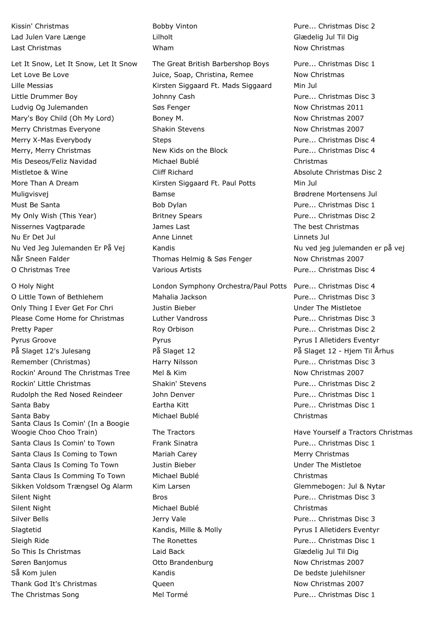Let It Snow, Let It Snow, Let It Snow The Great British Barbershop Boys Pure... Christmas Disc 1 Let Love Be Love **Solution Be Love** Juice, Soap, Christina, Remee Now Christmas Lille Messias Kirsten Siggaard Ft. Mads Siggaard Min Jul Little Drummer Boy Johnny Cash Pure... Christmas Disc 3 Ludvig Og Julemanden **Søs Fenger** Now Christmas 2011 Mary's Boy Child (Oh My Lord) Boney M. Now Christmas 2007 Merry Christmas Everyone **Shakin Stevens** Now Christmas 2007 Merry X-Mas Everybody The Steps Steps Pure... Christmas Disc 4 Merry, Merry Christmas The Mew Kids on the Block Theory Pure... Christmas Disc 4 Mis Deseos/Feliz Navidad Michael Bublé Christmas Mistletoe & Wine **Mistletoe & Wine Strucklers** Cliff Richard **Absolute Christmas Disc 2** More Than A Dream **Matter Siggaard Ft. Paul Potts** Min Jul Muligvisvej Bamse Brødrene Mortensens Jul Must Be Santa **Bob Dylan** Bob Dylan **Pure... Christmas Disc 1** My Only Wish (This Year) **Britney Spears** Pure... Christmas Disc 2 Nissernes Vagtparade James Last The best Christmas Nu Er Det Jul Anne Linnet Linnets Jul Nu Ved Jeg Julemanden Er På Vej Kandis Nu ved jeg julemanden er på vej Når Sneen Falder Thomas Helmig & Søs Fenger Now Christmas 2007 O Christmas Tree Various Artists Pure... Christmas Disc 4

Santa Claus Is Comin' (In a Boogie Silver Bells **Subsets Accords** 3 and 3 Jerry Vale **Purettion Christmas Disc 3** and 2 and 2 and 2 and 2 and 2 and 2 and 2 and 2 and 2 and 2 and 2 and 2 and 2 and 2 and 2 and 2 and 2 and 2 and 2 and 2 and 2 and 2 and 2 and 2 Slagtetid **Example 20 Stage Eventyrus Constructs** Kandis, Mille & Molly **Pyrus I Alletiders Eventyr** Sleigh Ride The Ronettes The Ronettes Pure... Christmas Disc 1 So This Is Christmas **South Accord Contained Accord Class Contained Accord Class Class Class Class Class Class C** Søren Banjomus **Now Christmas 2007** Otto Brandenburg Now Christmas 2007 Så Kom julen Nullen Kandis Nullen Kandis Nullen Kandis Nullen Kandis Nullen De bedste julehilsner Thank God It's Christmas **Community** Cueen Now Christmas 2007

Lad Julen Vare Længe Lilholt Glædelig Jul Til Dig Last Christmas **Now Christmas** Wham Now Christmas Now Christmas

O Little Town of Bethlehem Mahalia Jackson Pure... Christmas Disc 3 Only Thing I Ever Get For Chri Justin Bieber Under The Mistletoe Please Come Home for Christmas and Luther Vandross and Municipal Pure... Christmas Disc 3 Pretty Paper **Pretty Paper Roy Orbison Roy Orbison Pure... Christmas Disc 2** Pyrus Groove Pyrus Pyrus I Alletiders Eventyr På Slaget 12's Julesang På Slaget 12 På Slaget 12 - Hjem Til Århus Remember (Christmas) The Marry Nilsson Franch Pure... Christmas Disc 3 Rockin' Around The Christmas Tree Mel & Kim Now Christmas 2007 Rockin' Little Christmas The Shakin' Stevens The Shakin' Stevens Pure... Christmas Disc 2 Rudolph the Red Nosed Reindeer and John Denver and Muslem Pure... Christmas Disc 1 Santa Baby **Eartha Kitt Eartha Kitt** Pure... Christmas Disc 1 Santa Baby Michael Bublé Christmas Woogie Choo Choo Train) The Tractors Have Yourself a Tractors Christmas Santa Claus Is Comin' to Town Frank Sinatra **Pure...** Christmas Disc 1 Santa Claus Is Coming to Town Mariah Carey Merry Merry Christmas Santa Claus Is Coming To Town Tustin Bieber The Missue Claus Is Coming To Town Tustin Bieber Under The Mistletoe Santa Claus Is Comming To Town Michael Bublé Christmas Sikken Voldsom Trængsel Og Alarm Kim Larsen Glemmet Glemmebogen: Jul & Nytar Silent Night **Bros Bros Bros Pure... Christmas Disc 3** Silent Night **Michael Bublé** Christmas Christmas

Kissin' Christmas **Robing Christmas** Bobby Vinton **Pure... Christmas Disc 2** and Disc 2

O Holy Night London Symphony Orchestra/Paul Potts Pure... Christmas Disc 4

The Christmas Song The Christmas Disc 1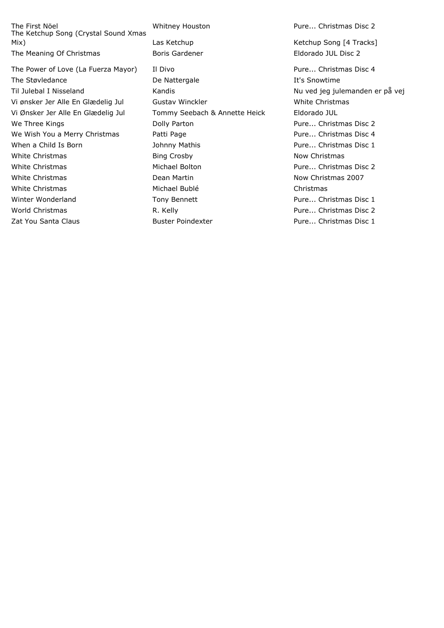The First Nöel Whitney Houston Pure... Christmas Disc 2 The Ketchup Song (Crystal Sound Xmas Mix) Las Ketchup Laster Changes Assembly Changes Assembly Mix Assembly Mix Metchup Song [4 Tracks] The Meaning Of Christmas **Boris Gardener Eldorado JUL Disc 2** 

The Power of Love (La Fuerza Mayor) Il Divo Pure... Christmas Disc 4 The Støvledance The Støvledance Communication De Nattergale The Støvledance It's Snowtime Til Julebal I Nisseland Kandis Kandis Kandis Nu ved jeg julemanden er på vej Vi ønsker Jer Alle En Glædelig Jul Gustav Winckler Manuschen Music Christmas Vi Ønsker Jer Alle En Glædelig Jul Tommy Seebach & Annette Heick Eldorado JUL We Three Kings The Colly Parton Colly Parton Christmas Disc 2 We Wish You a Merry Christmas **Patti Page Accompany 20 Forms** Pure... Christmas Disc 4 When a Child Is Born **Internal Studies Is a Child Is Born** Johnny Mathis **Pure... Christmas Disc 1** White Christmas **Bing Crosby** Bing Crosby **Now Christmas** Now Christmas White Christmas **Michael Bolton Michael Bolton Pure... Christmas Disc 2** White Christmas **Now Christmas** 2007 **Dean Martin** Now Christmas 2007 White Christmas **Michael Bublé** Christmas **Michael Bublé** Christmas Winter Wonderland Tony Bennett **Pure... Christmas Disc 1** and Pure... Christmas Disc 1 World Christmas **R. Kelly Christmas Disc 2** R. Kelly **R. Kelly Pure... Christmas Disc 2** Zat You Santa Claus **Buster Poindexter Buster Poindexter Buster Pure... Christmas Disc 1**